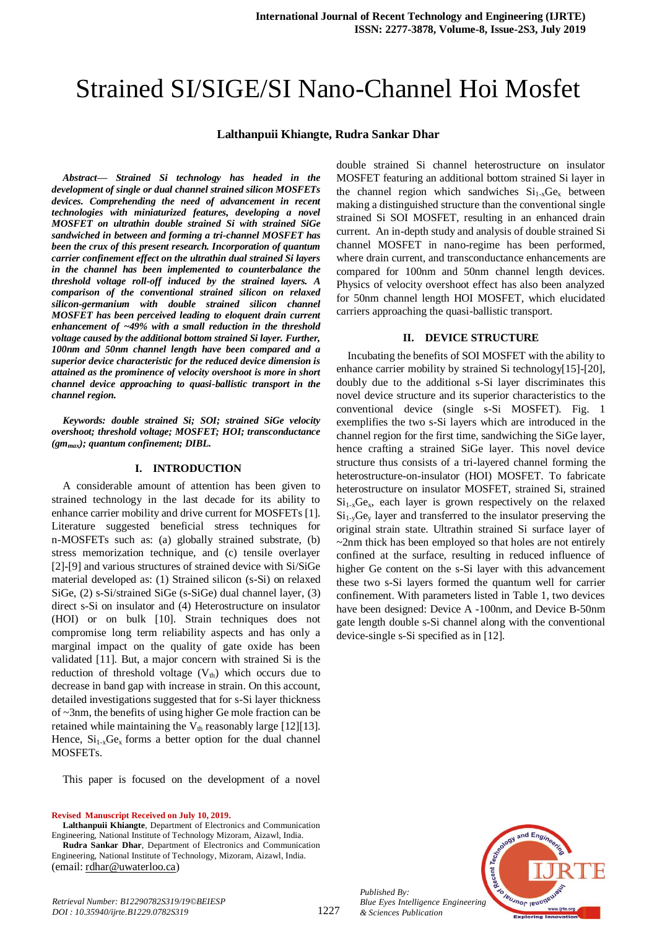# Strained SI/SIGE/SI Nano-Channel Hoi Mosfet

#### **Lalthanpuii Khiangte, Rudra Sankar Dhar**

*Abstract***—** *Strained Si technology has headed in the development of single or dual channel strained silicon MOSFETs devices. Comprehending the need of advancement in recent technologies with miniaturized features, developing a novel MOSFET on ultrathin double strained Si with strained SiGe sandwiched in between and forming a tri-channel MOSFET has been the crux of this present research. Incorporation of quantum carrier confinement effect on the ultrathin dual strained Si layers in the channel has been implemented to counterbalance the threshold voltage roll-off induced by the strained layers. A comparison of the conventional strained silicon on relaxed silicon-germanium with double strained silicon channel MOSFET has been perceived leading to eloquent drain current enhancement of ~49% with a small reduction in the threshold voltage caused by the additional bottom strained Si layer. Further, 100nm and 50nm channel length have been compared and a superior device characteristic for the reduced device dimension is attained as the prominence of velocity overshoot is more in short channel device approaching to quasi-ballistic transport in the channel region.*

*Keywords: double strained Si; SOI; strained SiGe velocity overshoot; threshold voltage; MOSFET; HOI; transconductance (gmmax); quantum confinement; DIBL.*

## **I. INTRODUCTION**

A considerable amount of attention has been given to strained technology in the last decade for its ability to enhance carrier mobility and drive current for MOSFETs [1]. Literature suggested beneficial stress techniques for n-MOSFETs such as: (a) globally strained substrate, (b) stress memorization technique, and (c) tensile overlayer [2]-[9] and various structures of strained device with Si/SiGe material developed as: (1) Strained silicon (s-Si) on relaxed SiGe, (2) s-Si/strained SiGe (s-SiGe) dual channel layer, (3) direct s-Si on insulator and (4) Heterostructure on insulator (HOI) or on bulk [10]. Strain techniques does not compromise long term reliability aspects and has only a marginal impact on the quality of gate oxide has been validated [11]. But, a major concern with strained Si is the reduction of threshold voltage  $(V<sub>th</sub>)$  which occurs due to decrease in band gap with increase in strain. On this account, detailed investigations suggested that for s-Si layer thickness of ~3nm, the benefits of using higher Ge mole fraction can be retained while maintaining the  $V_{th}$  reasonably large [12][13]. Hence,  $Si_{1-x}Ge_x$  forms a better option for the dual channel MOSFETs.

This paper is focused on the development of a novel

**Revised Manuscript Received on July 10, 2019.**

*Retrieval Number: B12290782S319/19©BEIESP DOI : 10.35940/ijrte.B1229.0782S319*

**Lalthanpuii Khiangte**, Department of Electronics and Communication Engineering, National Institute of Technology Mizoram, Aizawl, India.

**Rudra Sankar Dhar**, Department of Electronics and Communication Engineering, National Institute of Technology, Mizoram, Aizawl, India. (email: [rdhar@uwaterloo.ca\)](mailto:rdhar@uwaterloo.ca)

double strained Si channel heterostructure on insulator MOSFET featuring an additional bottom strained Si layer in the channel region which sandwiches  $Si<sub>1-x</sub>Ge<sub>x</sub>$  between making a distinguished structure than the conventional single strained Si SOI MOSFET, resulting in an enhanced drain current. An in-depth study and analysis of double strained Si channel MOSFET in nano-regime has been performed, where drain current, and transconductance enhancements are compared for 100nm and 50nm channel length devices. Physics of velocity overshoot effect has also been analyzed for 50nm channel length HOI MOSFET, which elucidated carriers approaching the quasi-ballistic transport.

#### **II. DEVICE STRUCTURE**

Incubating the benefits of SOI MOSFET with the ability to enhance carrier mobility by strained Si technology[15]-[20], doubly due to the additional s-Si layer discriminates this novel device structure and its superior characteristics to the conventional device (single s-Si MOSFET). Fig. 1 exemplifies the two s-Si layers which are introduced in the channel region for the first time, sandwiching the SiGe layer, hence crafting a strained SiGe layer. This novel device structure thus consists of a tri-layered channel forming the heterostructure-on-insulator (HOI) MOSFET. To fabricate heterostructure on insulator MOSFET, strained Si, strained  $Si<sub>1-x</sub>Ge<sub>x</sub>$ , each layer is grown respectively on the relaxed  $Si<sub>1-y</sub>Ge<sub>y</sub>$  layer and transferred to the insulator preserving the original strain state. Ultrathin strained Si surface layer of  $\sim$ 2nm thick has been employed so that holes are not entirely confined at the surface, resulting in reduced influence of higher Ge content on the s-Si layer with this advancement these two s-Si layers formed the quantum well for carrier confinement. With parameters listed in Table 1, two devices have been designed: Device A -100nm, and Device B-50nm gate length double s-Si channel along with the conventional device-single s-Si specified as in [12].



*Published By: Blue Eyes Intelligence Engineering & Sciences Publication*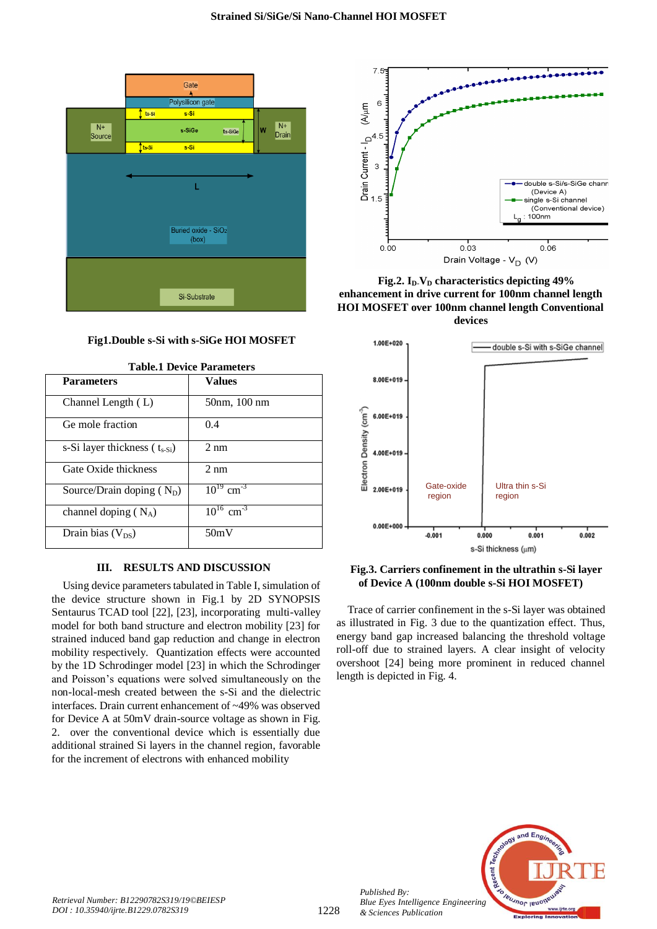

## **Fig1.Double s-Si with s-SiGe HOI MOSFET**

| <b>Parameters</b>                   | <b>Values</b>              |
|-------------------------------------|----------------------------|
| Channel Length (L)                  | 50nm, 100 nm               |
| Ge mole fraction                    | 0.4                        |
| s-Si layer thickness ( $t_{s-Si}$ ) | $2 \text{ nm}$             |
| Gate Oxide thickness                | $2 \text{ nm}$             |
| Source/Drain doping $(N_D)$         | $10^{19}$ cm <sup>-3</sup> |
| channel doping $(N_A)$              | $10^{16}$ cm <sup>-3</sup> |
| Drain bias $(V_{DS})$               | 50mV                       |

**Table.1 Device Parameters**

## **III. RESULTS AND DISCUSSION**

Using device parameters tabulated in Table I, simulation of the device structure shown in Fig.1 by 2D SYNOPSIS Sentaurus TCAD tool [22], [23], incorporating multi-valley model for both band structure and electron mobility [23] for strained induced band gap reduction and change in electron mobility respectively. Quantization effects were accounted by the 1D Schrodinger model [23] in which the Schrodinger and Poisson's equations were solved simultaneously on the non-local-mesh created between the s-Si and the dielectric interfaces. Drain current enhancement of ~49% was observed for Device A at 50mV drain-source voltage as shown in Fig. 2. over the conventional device which is essentially due additional strained Si layers in the channel region, favorable for the increment of electrons with enhanced mobility



**Fig.2. ID-V<sup>D</sup> characteristics depicting 49% enhancement in drive current for 100nm channel length HOI MOSFET over 100nm channel length Conventional devices**



## **Fig.3. Carriers confinement in the ultrathin s-Si layer of Device A (100nm double s-Si HOI MOSFET)**

Trace of carrier confinement in the s-Si layer was obtained as illustrated in Fig. 3 due to the quantization effect. Thus, energy band gap increased balancing the threshold voltage roll-off due to strained layers. A clear insight of velocity overshoot [24] being more prominent in reduced channel length is depicted in Fig. 4.



*Published By:*

*& Sciences Publication*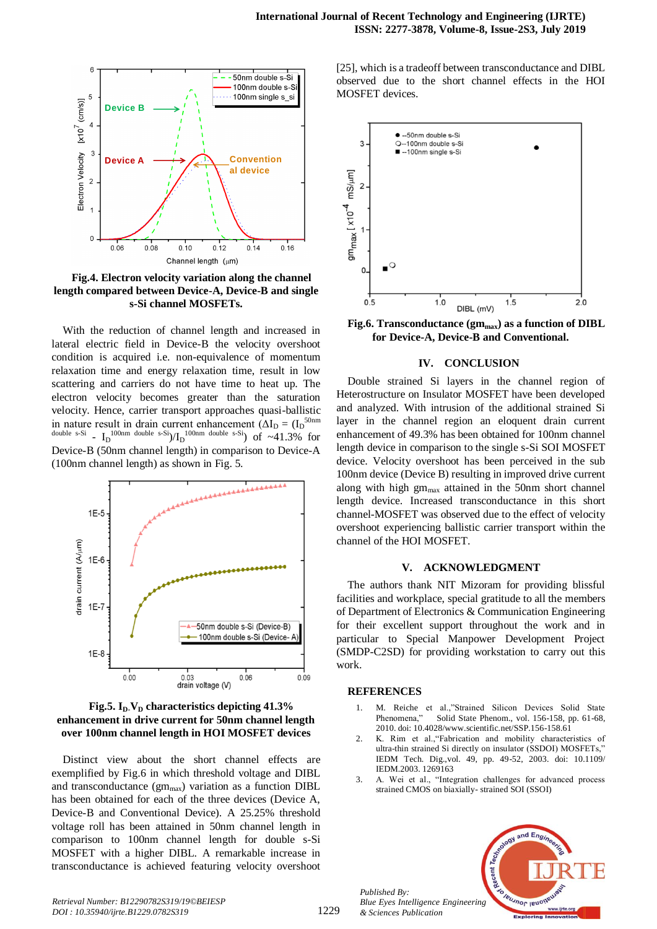

**Fig.4. Electron velocity variation along the channel length compared between Device-A, Device-B and single s-Si channel MOSFETs.**

With the reduction of channel length and increased in lateral electric field in Device-B the velocity overshoot condition is acquired i.e. non-equivalence of momentum relaxation time and energy relaxation time, result in low scattering and carriers do not have time to heat up. The electron velocity becomes greater than the saturation velocity. Hence, carrier transport approaches quasi-ballistic in nature result in drain current enhancement  $(\Delta I_D = (I_D^{\text{50nm}}))$ double s-Si -  $I_D$ <sup>100nm</sup> double s-Si)/ $I_D$ <sup>100nm</sup> double s-Si) of ~41.3% for Device-B (50nm channel length) in comparison to Device-A (100nm channel length) as shown in Fig. 5.

![](_page_2_Figure_4.jpeg)

![](_page_2_Figure_5.jpeg)

Distinct view about the short channel effects are exemplified by Fig.6 in which threshold voltage and DIBL and transconductance  $(gm<sub>max</sub>)$  variation as a function DIBL has been obtained for each of the three devices (Device A, Device-B and Conventional Device). A 25.25% threshold voltage roll has been attained in 50nm channel length in comparison to 100nm channel length for double s-Si MOSFET with a higher DIBL. A remarkable increase in transconductance is achieved featuring velocity overshoot

[25], which is a tradeoff between transconductance and DIBL observed due to the short channel effects in the HOI MOSFET devices.

![](_page_2_Figure_8.jpeg)

**Fig.6. Transconductance (gmmax) as a function of DIBL for Device-A, Device-B and Conventional.**

#### **IV. CONCLUSION**

Double strained Si layers in the channel region of Heterostructure on Insulator MOSFET have been developed and analyzed. With intrusion of the additional strained Si layer in the channel region an eloquent drain current enhancement of 49.3% has been obtained for 100nm channel length device in comparison to the single s-Si SOI MOSFET device. Velocity overshoot has been perceived in the sub 100nm device (Device B) resulting in improved drive current along with high gm<sub>max</sub> attained in the 50nm short channel length device. Increased transconductance in this short channel-MOSFET was observed due to the effect of velocity overshoot experiencing ballistic carrier transport within the channel of the HOI MOSFET.

### **V. ACKNOWLEDGMENT**

The authors thank NIT Mizoram for providing blissful facilities and workplace, special gratitude to all the members of Department of Electronics & Communication Engineering for their excellent support throughout the work and in particular to Special Manpower Development Project (SMDP-C2SD) for providing workstation to carry out this work.

#### **REFERENCES**

*Published By:*

*& Sciences Publication* 

- 1. M. Reiche et al.,"Strained Silicon Devices Solid State Phenomena," Solid State Phenom., vol. 156-158, pp. 61-68, 2010. doi: 10.4028/www.scientific.net/SSP.156-158.61
- 2. K. Rim et al.,"Fabrication and mobility characteristics of ultra-thin strained Si directly on insulator (SSDOI) MOSFETs," IEDM Tech. Dig.,vol. 49, pp. 49-52, 2003. doi: 10.1109/ IEDM.2003. 1269163
- 3. A. Wei et al., "Integration challenges for advanced process strained CMOS on biaxially- strained SOI (SSOI)

![](_page_2_Picture_18.jpeg)